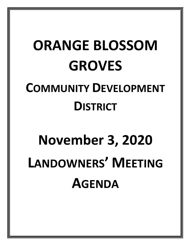## **ORANGE BLOSSOM GROVES COMMUNITY DEVELOPMENT DISTRICT**

# **November 3, 2020 LANDOWNERS' MEETING AGENDA**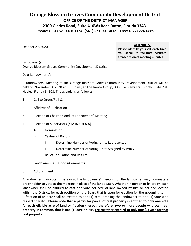## **Orange Blossom Groves Community Development District OFFICE OF THE DISTRICT MANAGER 2300 Glades Road, Suite 410W●Boca Raton, Florida 33431 Phone: (561) 571-0010●Fax: (561) 571-0013●Toll-Free: (877) 276-0889**

October 27, 2020

**ATTENDEES:**

**Please identify yourself each time you speak to facilitate accurate transcription of meeting minutes.**

Landowner(s) Orange Blossom Groves Community Development District

Dear Landowner(s):

A Landowners' Meeting of the Orange Blossom Groves Community Development District will be held on November 3, 2020 at 2:00 p.m., at The Ronto Group, 3066 Tamiami Trail North, Suite 201, Naples, Florida 34103**.** The agenda is as follows:

- 1. Call to Order/Roll Call
- 2. Affidavit of Publication
- 3. Election of Chair to Conduct Landowners' Meeting
- 4. Election of Supervisors **[SEATS 3, 4 & 5]**
	- A. Nominations
	- B. Casting of Ballots
		- I. Determine Number of Voting Units Represented
		- II. Determine Number of Voting Units Assigned by Proxy
	- C. Ballot Tabulation and Results
- 5. Landowners' Questions/Comments
- 6. Adjournment

A landowner may vote in person at the landowners' meeting, or the landowner may nominate a proxy holder to vote at the meeting in place of the landowner. Whether in person or by proxy, each landowner shall be entitled to cast one vote per acre of land owned by him or her and located within the District, for each position on the Board that is open for election for the upcoming term. A fraction of an acre shall be treated as one (1) acre, entitling the landowner to one (1) vote with respect thereto. **Please note that a particular parcel of real property is entitled to only one vote for each eligible acre of land or fraction thereof; therefore, two or more people who own real property in common, that is one (1) acre or less, are together entitled to only one (1) vote for that real property.**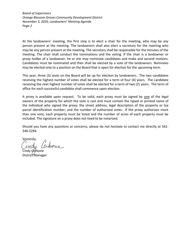*Board of Supervisors Orange Blossom Groves Community Development District November 3, 2020, Landowners' Meeting Agenda Page 2*

At the landowners' meeting, the first step is to elect a chair for the meeting, who may be any person present at the meeting. The landowners shall also elect a secretary for the meeting who may be any person present at the meeting. The secretary shall be responsible for the minutes of the meeting. The chair shall conduct the nominations and the voting. If the chair is a landowner or proxy holder of a landowner, he or she may nominate candidates and make and second motions. Candidates must be nominated and then shall be elected by a vote of the landowners. Nominees may be elected only to a position on the Board that is open for election for the upcoming term.

This year, three (3) seats on the Board will be up for election by landowners. The two candidates receiving the highest number of votes shall be elected for a term of four (4) years. The candidate receiving the next highest number of votes shall be elected for a term of two (2) years. The term of office for each successful candidate shall commence upon election.

A proxy is available upon request. To be valid, each proxy must be signed by one of the legal owners of the property for which the vote is cast and must contain the typed or printed name of the individual who signed the proxy; the street address, legal description of the property or tax parcel identification number; and the number of authorized votes. If the proxy authorizes more than one vote, each property must be listed and the number of acres of each property must be included. The signature on a proxy does not need to be notarized.

Should you have any questions or concerns, please do not hesitate to contact me directly at 561- 346-5294.

Sincerely,

Cindy Cerbone District Manager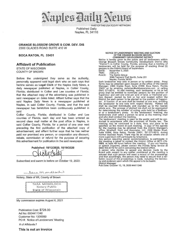

PART OF THE USA TODAY NETWORK Published Daily Naples, FL 34110

#### **ORANGE BLOSSOM GROVE S COM. DEV. DIS**  2300 GLADES ROAD SUITE 410 W

#### **BOCA RATON, FL 33431**

#### **Affidavit of Publication**

STATE OF WISCONSIN COUNTY OF BROWN

Before the undersigned they serve as the authority, personally appeared said legal clerk who on oath says that he/she serves as **Legal Clerk** of the Naples Daily News, a daily newspaper published at Naples, in Collier County, Florida; distributed in Collier and Lee counties of Florida; that the attached copy of the advertising was published in said newspaper on dates listed. Affiant further says that the said Naples Daily News is a newspaper published at Naples, in said Collier County, Florida, and that the said newspaper has heretofore been continuously published in said

Collier County, Florida; distributed in Collier and Lee counties of Florida, each day and has been entered as second class mail matter at the post office in Naples, in said Collier County, Florida, for a period of one year next preceding the first publication of the attached copy of advertisement; and affiant further says that he has neither paid nor promised any person, or corporation any discount, rebate, commission or refund for the purpose of securing this advertisement for publication in the said newspaper.

**Published: 10/12/2020, 10/19/2020**<br> **CAAAA**<br>
conditions to before an Ortobox 19, 2

Subscribed and sworn to before on October 19, 2020:

Saramondell

Notary, State of WI, County of Brown

|  |               | TARA MONDLOCH      |  |
|--|---------------|--------------------|--|
|  | Notary Public |                    |  |
|  |               | State of Wisconsin |  |

My commission expires August 6, 2021

Publication Cost: \$728.00 Ad No: 0004411340 Customer No: 1306950 PO #: Notice of Landowners' Meeting

# of Affidavits 1

**This is not an invoice** 

#### **NOTICE OF LANDOWNERS' MEETING AND ELECTION OF THE ORANGE BLOSSOM GROVES COMMUNITY DEVELOPMENT DISTRICT**

Notice is hereby given to the public and all landowners within<br>Orange Blossom Groves Community Development District (the<br>"District") in Collier County, Florida, advising that a meeting of<br>landowners will be held for the pu

DATE: November 3, 2020<br>TIME: 2:00 p.m.<br>PLACE: The Ronto Group

TIME: 2:00 p.m. PLACE: The Ronto Group 3066 Tamiami Trail North, Suite 201 Naples, Florida 34103

Each landowner may vote in person or by written proxy. Proxy forms may be obtained upon request at the office of the District Manager, 2300 Glades Road, Suite 410W, Boca Raton, Florida 33431 or by emailing cerbonec@whhassociates.com or calling (561) 571-0010. At said meeting, each landowner or his or her proxy shall be entitled to nominate persons for the position of Supervisor and cast one vote per acre of land, or fractional por-tion thereof, owned by him or her and located within the District for each person to be elected to the position of Supervi-

sor. A fraction of an acre shall be treated as one acre, entitling<br>the landowner to one vote with respect thereto. Platted lots<br>shall be counted individually and rounded up to the nearest<br>whole acre. The acreage of platted

Any person requiring special accommodations to participate in<br>the meeting is asked to condact the District Office at (877) 276-<br>0889, at least 48 hours before the meeting. If you are hearing<br>or speech impaired, please cont batim record of the proceedings is made, including the testimony and evidence upon which the appeal is to be based. District Manager

Pub Date: October 12, 19, 2020 #4411340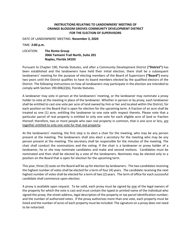#### **INSTRUCTIONS RELATING TO LANDOWNERS' MEETING OF ORANGE BLOSSOM GROVES COMMUNITY DEVELOPMENT DISTRICT FOR THE ELECTION OF SUPERVISORS**

DATE OF LANDOWNERS' MEETING: **November 3, 2020**

TIME: **2:00 p.m.**

## LOCATION: **The Ronto Group 3066 Tamiami Trail North, Suite 201 Naples, Florida 34103**

Pursuant to Chapter 190, Florida Statutes, and after a Community Development District **("District")** has been established and the landowners have held their initial election, there shall be a subsequent landowners' meeting for the purpose of electing members of the Board of Supervisors **("Board")** every two years until the District qualifies to have its board members elected by the qualified electors of the District. The following instructions on how all landowners may participate in the election are intended to comply with Section 190.006(2)(b), Florida Statutes.

A landowner may vote in person at the landowners' meeting, or the landowner may nominate a proxy holder to vote at the meeting in place of the landowner. Whether in person or by proxy, each landowner shall be entitled to cast one vote per acre of land owned by him or her and located within the District, for each position on the Board that is open for election for the upcoming term. A fraction of an acre shall be treated as one (1) acre, entitling the landowner to one vote with respect thereto. Please note that a particular parcel of real property is entitled to only one vote for each eligible acre of land or fraction thereof; therefore, two or more people who own real property in common, that is one acre or less, are together entitled to only one vote for that real property**.**

At the landowners' meeting, the first step is to elect a chair for the meeting, who may be any person present at the meeting. The landowners shall also elect a secretary for the meeting who may be any person present at the meeting. The secretary shall be responsible for the minutes of the meeting. The chair shall conduct the nominations and the voting. If the chair is a landowner or proxy holder of a landowner, he or she may nominate candidates and make and second motions. Candidates must be nominated and then shall be elected by a vote of the landowners. Nominees may be elected only to a position on the Board that is open for election for the upcoming term.

This year, three (3) seats on the Board will be up for election by landowners. The two candidates receiving the highest number of votes shall be elected for a term of four (4) years. The candidate receiving the next highest number of votes shall be elected for a term of two (2) years. The term of office for each successful candidate shall commence upon election.

A proxy is available upon request. To be valid, each proxy must be signed by one of the legal owners of the property for which the vote is cast and must contain the typed or printed name of the individual who signed the proxy; the street address, legal description of the property or tax parcel identification number; and the number of authorized votes. If the proxy authorizes more than one vote, each property must be listed and the number of acres of each property must be included. The signature on a proxy does not need to be notarized.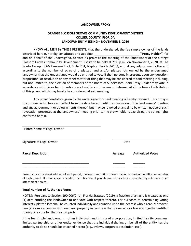#### **LANDOWNER PROXY**

#### **ORANGE BLOSSOM GROVES COMMUNITY DEVELOPMENT DISTRICT COLLIER COUNTY, FLORIDA LANDOWNERS' MEETING – NOVEMBER 3, 2020**

KNOW ALL MEN BY THESE PRESENTS, that the undersigned, the fee simple owner of the lands described herein, hereby constitutes and appoints \_\_\_\_\_\_\_\_\_\_\_\_\_\_\_\_\_\_\_\_\_\_\_\_\_\_ **("Proxy Holder")** for and on behalf of the undersigned, to vote as proxy at the meeting of the landowners of the Orange Blossom Groves Community Development District to be held at 2:00 p.m., on November 3, 2020, at The Ronto Group, 3066 Tamiami Trail, Suite 201, Naples, Florida 34103, and at any adjournments thereof, according to the number of acres of unplatted land and/or platted lots owned by the undersigned landowner that the undersigned would be entitled to vote if then personally present, upon any question, proposition, or resolution or any other matter or thing that may be considered at said meeting including, but not limited to, the election of members of the Board of Supervisors. Said Proxy Holder may vote in accordance with his or her discretion on all matters not known or determined at the time of solicitation of this proxy, which may legally be considered at said meeting.

Any proxy heretofore given by the undersigned for said meeting is hereby revoked. This proxy is to continue in full force and effect from the date hereof until the conclusion of the landowners' meeting and any adjournment or adjournments thereof, but may be revoked at any time by written notice of such revocation presented at the landowners' meeting prior to the proxy holder's exercising the voting rights conferred herein.

| Printed Name of Legal Owner      |  |                |                         |
|----------------------------------|--|----------------|-------------------------|
| Signature of Legal Owner<br>Date |  |                |                         |
| <b>Parcel Description</b>        |  | <b>Acreage</b> | <b>Authorized Votes</b> |
|                                  |  |                |                         |
|                                  |  |                |                         |
|                                  |  |                |                         |

[Insert above the street address of each parcel, the legal description of each parcel, or the tax identification number of each parcel. If more space is needed, identification of parcels owned may be incorporated by reference to an attachment hereto.]

#### **Total Number of Authorized Votes: \_\_\_\_\_\_\_**

NOTES: Pursuant to Section 190.006(2)(b), Florida Statutes (2019), a fraction of an acre is treated as one (1) acre entitling the landowner to one vote with respect thereto. For purposes of determining voting interests, platted lots shall be counted individually and rounded up to the nearest whole acre. Moreover, two (2) or more persons who own real property in common that is one acre or less are together entitled to only one vote for that real property.

If the fee simple landowner is not an individual, and is instead a corporation, limited liability company, limited partnership or other entity, evidence that the individual signing on behalf of the entity has the authority to do so should be attached hereto (e.g., bylaws, corporate resolution, etc.).